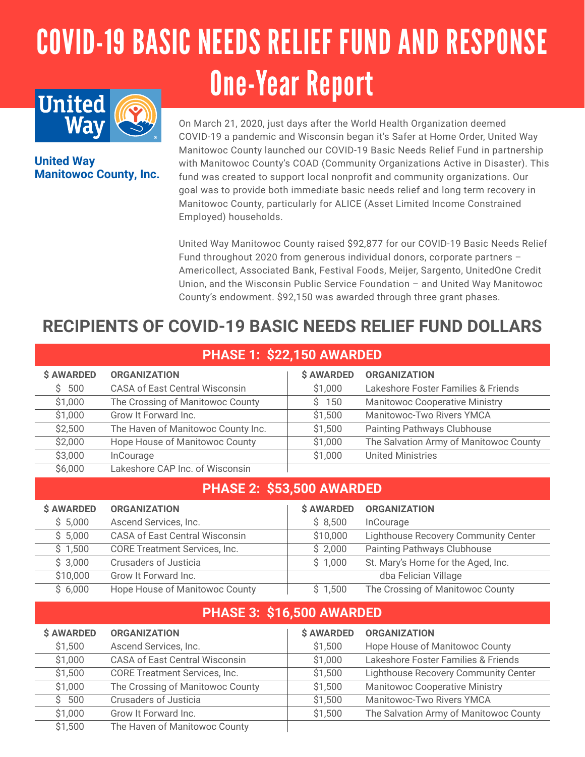# COVID-19 BASIC NEEDS RELIEF FUND AND RESPONSE One-Year Report



#### **United Way Manitowoc County, Inc.**

On March 21, 2020, just days after the World Health Organization deemed COVID-19 a pandemic and Wisconsin began it's Safer at Home Order, United Way Manitowoc County launched our COVID-19 Basic Needs Relief Fund in partnership with Manitowoc County's COAD (Community Organizations Active in Disaster). This fund was created to support local nonprofit and community organizations. Our goal was to provide both immediate basic needs relief and long term recovery in Manitowoc County, particularly for ALICE (Asset Limited Income Constrained Employed) households.

United Way Manitowoc County raised \$92,877 for our COVID-19 Basic Needs Relief Fund throughout 2020 from generous individual donors, corporate partners – Americollect, Associated Bank, Festival Foods, Meijer, Sargento, UnitedOne Credit Union, and the Wisconsin Public Service Foundation – and United Way Manitowoc County's endowment. \$92,150 was awarded through three grant phases.

# **RECIPIENTS OF COVID-19 BASIC NEEDS RELIEF FUND DOLLARS**

|                   | <b>PHASE 1: \$22,150 AWARDED</b>      |                         |                                        |
|-------------------|---------------------------------------|-------------------------|----------------------------------------|
| <b>\$ AWARDED</b> | <b>ORGANIZATION</b>                   | <b><i>\$AWARDED</i></b> | <b>ORGANIZATION</b>                    |
| 500<br>S.         | <b>CASA of East Central Wisconsin</b> | \$1,000                 | Lakeshore Foster Families & Friends    |
| \$1,000           | The Crossing of Manitowoc County      | \$150                   | <b>Manitowoc Cooperative Ministry</b>  |
| \$1,000           | Grow It Forward Inc.                  | \$1,500                 | Manitowoc-Two Rivers YMCA              |
| \$2,500           | The Haven of Manitowoc County Inc.    | \$1,500                 | <b>Painting Pathways Clubhouse</b>     |
| \$2,000           | Hope House of Manitowoc County        | \$1,000                 | The Salvation Army of Manitowoc County |
| \$3,000           | InCourage                             | \$1,000                 | <b>United Ministries</b>               |
| \$6,000           | Lakeshore CAP Inc. of Wisconsin       |                         |                                        |

## **PHASE 2: \$53,500 AWARDED**

| <b>\$ AWARDED</b> | <b>ORGANIZATION</b>                   | <b>\$ AWARDED</b> | <b>ORGANIZATION</b>                  |
|-------------------|---------------------------------------|-------------------|--------------------------------------|
| \$5,000           | Ascend Services, Inc.                 | \$8,500           | <b>InCourage</b>                     |
| \$5,000           | <b>CASA of East Central Wisconsin</b> | \$10,000          | Lighthouse Recovery Community Center |
| \$1,500           | <b>CORE Treatment Services, Inc.</b>  | \$2,000           | <b>Painting Pathways Clubhouse</b>   |
| \$3,000           | Crusaders of Justicia                 | \$1,000           | St. Mary's Home for the Aged, Inc.   |
| \$10,000          | Grow It Forward Inc.                  |                   | dba Felician Village                 |
| \$6,000           | Hope House of Manitowoc County        | \$1,500           | The Crossing of Manitowoc County     |

## **PHASE 3: \$16,500 AWARDED**

| <b><i>SAWARDED</i></b> | <b>ORGANIZATION</b>                   | <b><i>SAWARDED</i></b> | <b>ORGANIZATION</b>                    |  |
|------------------------|---------------------------------------|------------------------|----------------------------------------|--|
| \$1,500                | Ascend Services, Inc.                 | \$1,500                | Hope House of Manitowoc County         |  |
| \$1,000                | <b>CASA of East Central Wisconsin</b> | \$1,000                | Lakeshore Foster Families & Friends    |  |
| \$1,500                | <b>CORE Treatment Services, Inc.</b>  | \$1,500                | Lighthouse Recovery Community Center   |  |
| \$1,000                | The Crossing of Manitowoc County      | \$1,500                | <b>Manitowoc Cooperative Ministry</b>  |  |
| \$500                  | <b>Crusaders of Justicia</b>          | \$1,500                | <b>Manitowoc-Two Rivers YMCA</b>       |  |
| \$1,000                | Grow It Forward Inc.                  | \$1,500                | The Salvation Army of Manitowoc County |  |
| \$1,500                | The Haven of Manitowoc County         |                        |                                        |  |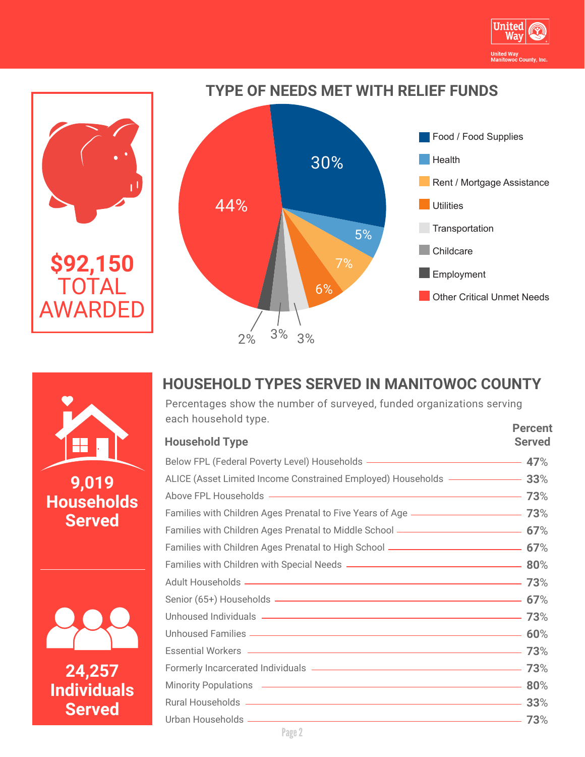







**24,257 Individuals Served**

## **HOUSEHOLD TYPES SERVED IN MANITOWOC COUNTY**

**Percent** Percentages show the number of surveyed, funded organizations serving each household type.

| <b>Household Type</b>                                                                                                                                                                                                                |  |
|--------------------------------------------------------------------------------------------------------------------------------------------------------------------------------------------------------------------------------------|--|
| Below FPL (Federal Poverty Level) Households - - - - - - - - - - - - - - - 47%                                                                                                                                                       |  |
|                                                                                                                                                                                                                                      |  |
| Above FPL Households - 23%                                                                                                                                                                                                           |  |
|                                                                                                                                                                                                                                      |  |
| Families with Children Ages Prenatal to Middle School __________________________ 67%                                                                                                                                                 |  |
| Families with Children Ages Prenatal to High School ____________________________ 67%                                                                                                                                                 |  |
|                                                                                                                                                                                                                                      |  |
|                                                                                                                                                                                                                                      |  |
|                                                                                                                                                                                                                                      |  |
|                                                                                                                                                                                                                                      |  |
| Unhoused Families <u>- Conservation and the set of the set of the set of the set of the set of the set of the set of the set of the set of the set of the set of the set of the set of the set of the set of the set of the set </u> |  |
| Essential Workers <u>- Table 1988</u>                                                                                                                                                                                                |  |
|                                                                                                                                                                                                                                      |  |
|                                                                                                                                                                                                                                      |  |
|                                                                                                                                                                                                                                      |  |
| Urban Households <u>- 23%</u>                                                                                                                                                                                                        |  |
| and the contract of the contract of the contract of the contract of the contract of the contract of the contract of the contract of the contract of the contract of the contract of the contract of the contract of the contra       |  |

Page 2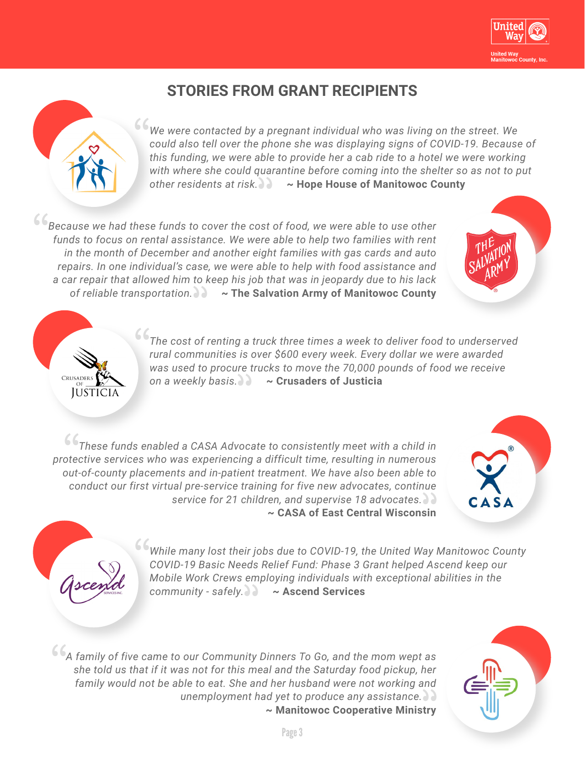

## **STORIES FROM GRANT RECIPIENTS**



"*other residents at risk.* **~ Hope House of Manitowoc County** *We were contacted by a pregnant individual who was living on the street. We could also tell over the phone she was displaying signs of COVID-19. Because of this funding, we were able to provide her a cab ride to a hotel we were working with where she could quarantine before coming into the shelter so as not to put*

 $\mathcal{C}_t$ "*of reliable transportation.* **~ The Salvation Army of Manitowoc County** *Because we had these funds to cover the cost of food, we were able to use other funds to focus on rental assistance. We were able to help two families with rent in the month of December and another eight families with gas cards and auto repairs. In one individual's case, we were able to help with food assistance and a car repair that allowed him to keep his job that was in jeopardy due to his lack*



 $\frac{66}{r}$ "*on a weekly basis.* **~ Crusaders of Justicia** *The cost of renting a truck three times a week to deliver food to underserved rural communities is over \$600 every week. Every dollar we were awarded was used to procure trucks to move the 70,000 pounds of food we receive*

 $\frac{66}{10}$ "*service for 21 children, and supervise 18 advocates. These funds enabled a CASA Advocate to consistently meet with a child in protective services who was experiencing a difficult time, resulting in numerous out-of-county placements and in-patient treatment. We have also been able to conduct our first virtual pre-service training for five new advocates, continue* **~ CASA of East Central Wisconsin**





**JUSTICIA** 

"*community - safely.* **~ Ascend Services** *While many lost their jobs due to COVID-19, the United Way Manitowoc County COVID-19 Basic Needs Relief Fund: Phase 3 Grant helped Ascend keep our Mobile Work Crews employing individuals with exceptional abilities in the*

" *A family of five came to our Community Dinners To Go, and the mom wept as* "*unemployment had yet to produce any assistance. she told us that if it was not for this meal and the Saturday food pickup, her family would not be able to eat. She and her husband were not working and* **~ Manitowoc Cooperative Ministry**